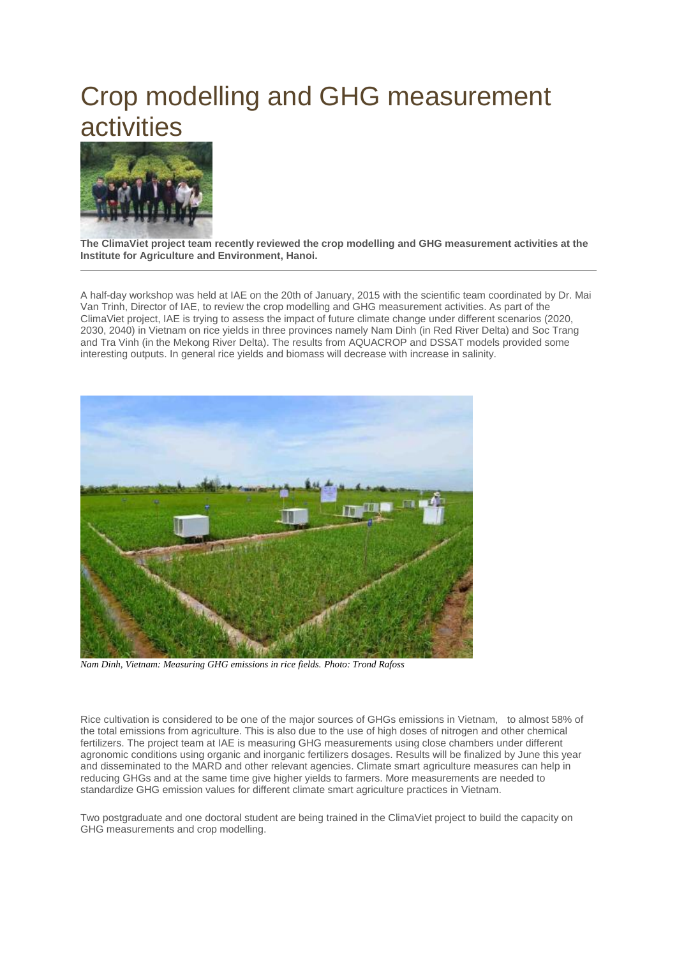## Crop modelling and GHG measurement activities



**The ClimaViet project team recently reviewed the crop modelling and GHG measurement activities at the Institute for Agriculture and Environment, Hanoi.**

A half-day workshop was held at IAE on the 20th of January, 2015 with the scientific team coordinated by Dr. Mai Van Trinh, Director of IAE, to review the crop modelling and GHG measurement activities. As part of the ClimaViet project, IAE is trying to assess the impact of future climate change under different scenarios (2020, 2030, 2040) in Vietnam on rice yields in three provinces namely Nam Dinh (in Red River Delta) and Soc Trang and Tra Vinh (in the Mekong River Delta). The results from AQUACROP and DSSAT models provided some interesting outputs. In general rice yields and biomass will decrease with increase in salinity.



*Nam Dinh, Vietnam: Measuring GHG emissions in rice fields. Photo: Trond Rafoss*

Rice cultivation is considered to be one of the major sources of GHGs emissions in Vietnam, to almost 58% of the total emissions from agriculture. This is also due to the use of high doses of nitrogen and other chemical fertilizers. The project team at IAE is measuring GHG measurements using close chambers under different agronomic conditions using organic and inorganic fertilizers dosages. Results will be finalized by June this year and disseminated to the MARD and other relevant agencies. Climate smart agriculture measures can help in reducing GHGs and at the same time give higher yields to farmers. More measurements are needed to standardize GHG emission values for different climate smart agriculture practices in Vietnam.

Two postgraduate and one doctoral student are being trained in the ClimaViet project to build the capacity on GHG measurements and crop modelling.